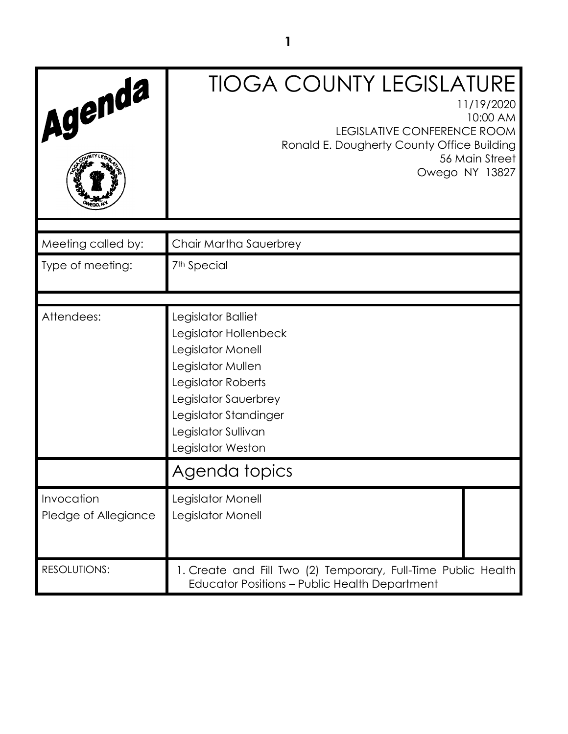| Agenda                             | <b>TIOGA COUNTY LEGISLATURE</b><br>11/19/2020<br>10:00 AM<br>LEGISLATIVE CONFERENCE ROOM<br>Ronald E. Dougherty County Office Building<br>56 Main Street<br>Owego NY 13827                               |
|------------------------------------|----------------------------------------------------------------------------------------------------------------------------------------------------------------------------------------------------------|
| Meeting called by:                 | Chair Martha Sauerbrey                                                                                                                                                                                   |
| Type of meeting:                   | 7 <sup>th</sup> Special                                                                                                                                                                                  |
| Attendees:                         | Legislator Balliet<br>Legislator Hollenbeck<br>Legislator Monell<br>Legislator Mullen<br>Legislator Roberts<br>Legislator Sauerbrey<br>Legislator Standinger<br>Legislator Sullivan<br>Legislator Weston |
|                                    | Agenda topics                                                                                                                                                                                            |
| Invocation<br>Pledge of Allegiance | Legislator Monell<br>Legislator Monell                                                                                                                                                                   |
| <b>RESOLUTIONS:</b>                | 1. Create and Fill Two (2) Temporary, Full-Time Public Health<br><b>Educator Positions - Public Health Department</b>                                                                                    |